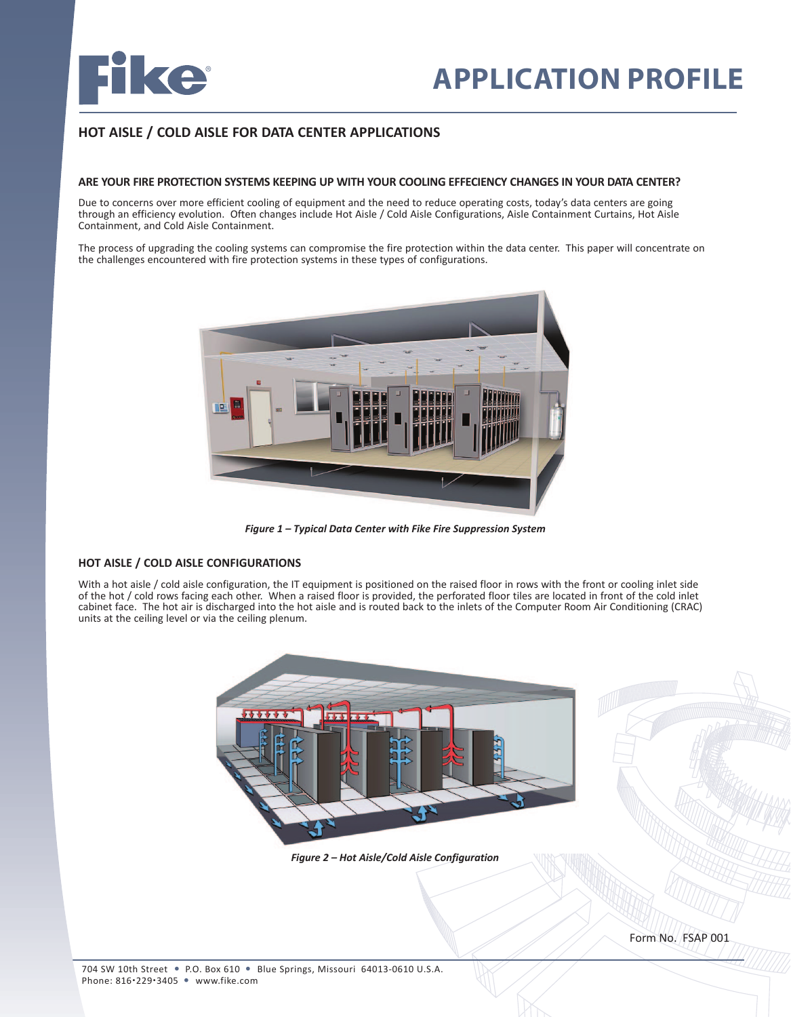

# **HOT AISLE / COLD AISLE FOR DATA CENTER APPLICATIONS**

#### **ARE YOUR FIRE PROTECTION SYSTEMS KEEPING UP WITH YOUR COOLING EFFECIENCY CHANGES IN YOUR DATA CENTER?**

Due to concerns over more efficient cooling of equipment and the need to reduce operating costs, today's data centers are going through an efficiency evolution. Often changes include Hot Aisle / Cold Aisle Configurations, Aisle Containment Curtains, Hot Aisle Containment, and Cold Aisle Containment.

The process of upgrading the cooling systems can compromise the fire protection within the data center. This paper will concentrate on the challenges encountered with fire protection systems in these types of configurations.



*Figure 1 – Typical Data Center with Fike Fire Suppression System*

#### **HOT AISLE / COLD AISLE CONFIGURATIONS**

With a hot aisle / cold aisle configuration, the IT equipment is positioned on the raised floor in rows with the front or cooling inlet side of the hot / cold rows facing each other. When a raised floor is provided, the perforated floor tiles are located in front of the cold inlet cabinet face. The hot air is discharged into the hot aisle and is routed back to the inlets of the Computer Room Air Conditioning (CRAC) units at the ceiling level or via the ceiling plenum.



*Figure 2 – Hot Aisle/Cold Aisle Configuration*

Form No. FSAP 001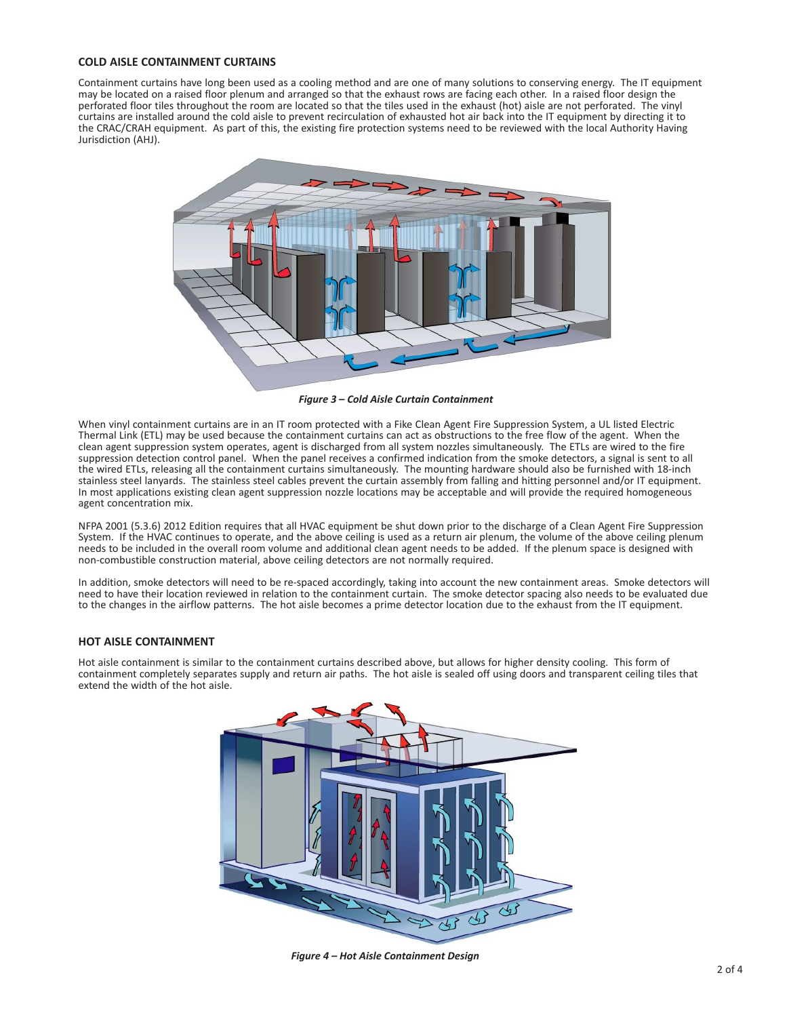### **COLD AISLE CONTAINMENT CURTAINS**

Containment curtains have long been used as a cooling method and are one of many solutions to conserving energy. The IT equipment may be located on a raised floor plenum and arranged so that the exhaust rows are facing each other. In a raised floor design the perforated floor tiles throughout the room are located so that the tiles used in the exhaust (hot) aisle are not perforated. The vinyl curtains are installed around the cold aisle to prevent recirculation of exhausted hot air back into the IT equipment by directing it to the CRAC/CRAH equipment. As part of this, the existing fire protection systems need to be reviewed with the local Authority Having Jurisdiction (AHJ).



*Figure 3 – Cold Aisle Curtain Containment*

When vinyl containment curtains are in an IT room protected with a Fike Clean Agent Fire Suppression System, a UL listed Electric Thermal Link (ETL) may be used because the containment curtains can act as obstructions to the free flow of the agent. When the clean agent suppression system operates, agent is discharged from all system nozzles simultaneously. The ETLs are wired to the fire suppression detection control panel. When the panel receives a confirmed indication from the smoke detectors, a signal is sent to all the wired ETLs, releasing all the containment curtains simultaneously. The mounting hardware should also be furnished with 18-inch stainless steel lanyards. The stainless steel cables prevent the curtain assembly from falling and hitting personnel and/or IT equipment. In most applications existing clean agent suppression nozzle locations may be acceptable and will provide the required homogeneous agent concentration mix.

NFPA 2001 (5.3.6) 2012 Edition requires that all HVAC equipment be shut down prior to the discharge of a Clean Agent Fire Suppression System. If the HVAC continues to operate, and the above ceiling is used as a return air plenum, the volume of the above ceiling plenum needs to be included in the overall room volume and additional clean agent needs to be added. If the plenum space is designed with non-combustible construction material, above ceiling detectors are not normally required.

In addition, smoke detectors will need to be re-spaced accordingly, taking into account the new containment areas. Smoke detectors will need to have their location reviewed in relation to the containment curtain. The smoke detector spacing also needs to be evaluated due to the changes in the airflow patterns. The hot aisle becomes a prime detector location due to the exhaust from the IT equipment.

#### **HOT AISLE CONTAINMENT**

Hot aisle containment is similar to the containment curtains described above, but allows for higher density cooling. This form of containment completely separates supply and return air paths. The hot aisle is sealed off using doors and transparent ceiling tiles that extend the width of the hot aisle.



*Figure 4 – Hot Aisle Containment Design*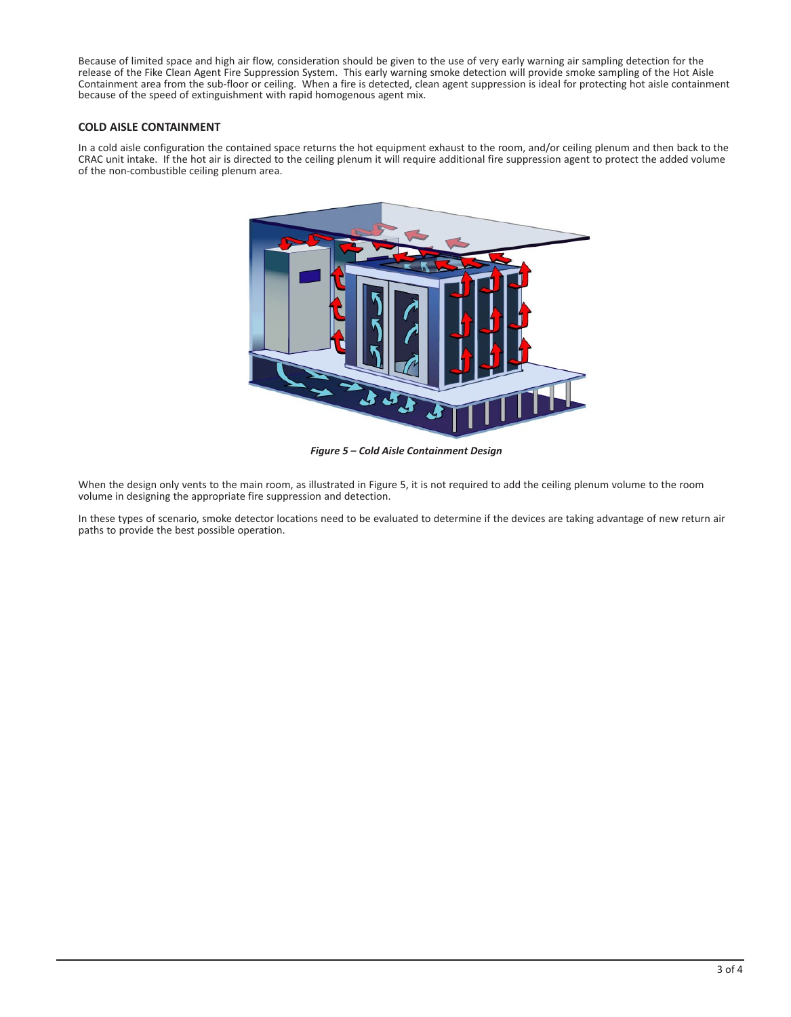Because of limited space and high air flow, consideration should be given to the use of very early warning air sampling detection for the release of the Fike Clean Agent Fire Suppression System. This early warning smoke detection will provide smoke sampling of the Hot Aisle Containment area from the sub-floor or ceiling. When a fire is detected, clean agent suppression is ideal for protecting hot aisle containment because of the speed of extinguishment with rapid homogenous agent mix.

# **COLD AISLE CONTAINMENT**

In a cold aisle configuration the contained space returns the hot equipment exhaust to the room, and/or ceiling plenum and then back to the CRAC unit intake. If the hot air is directed to the ceiling plenum it will require additional fire suppression agent to protect the added volume of the non-combustible ceiling plenum area.



*Figure 5 – Cold Aisle Containment Design*

When the design only vents to the main room, as illustrated in Figure 5, it is not required to add the ceiling plenum volume to the room volume in designing the appropriate fire suppression and detection.

In these types of scenario, smoke detector locations need to be evaluated to determine if the devices are taking advantage of new return air paths to provide the best possible operation.